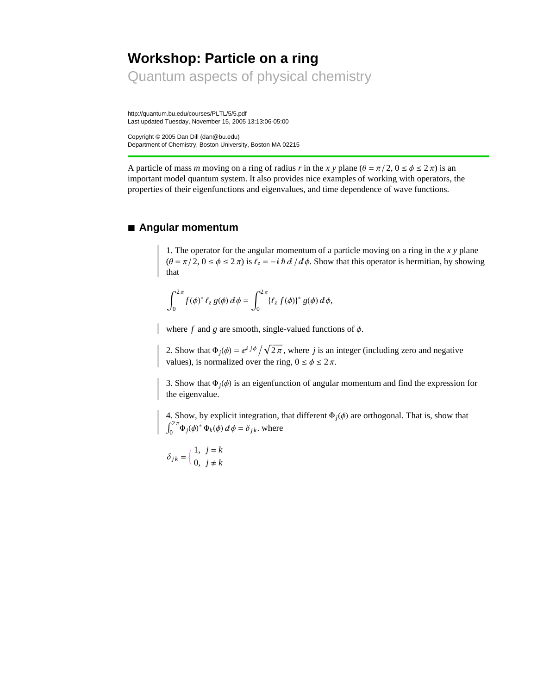# **Workshop: Particle on a ring** Quantum aspects of physical chemistry

http://quantum.bu.edu/courses/PLTL/5/5.pdf Last updated Tuesday, November 15, 2005 13:13:06-05:00

Copyright © 2005 Dan Dill (dan@bu.edu) Department of Chemistry, Boston University, Boston MA 02215

A particle of mass *m* moving on a ring of radius *r* in the *x* y plane ( $\theta = \pi/2$ ,  $0 \le \phi \le 2\pi$ ) is an important model quantum system. It also provides nice examples of working with operators, the properties of their eigenfunctions and eigenvalues, and time dependence of wave functions.

### **à Angular momentum**

1. The operator for the angular momentum of a particle moving on a ring in the *x y* plane  $(\theta = \pi/2, 0 \le \phi \le 2\pi)$  is  $\ell_z = -i\hbar d/d\phi$ . Show that this operator is hermitian, by showing that

$$
\int_0^{2\pi} f(\phi)^* \ell_z g(\phi) \, d\phi = \int_0^{2\pi} \{ \ell_z f(\phi) \}^* g(\phi) \, d\phi,
$$

where  $f$  and  $g$  are smooth, single-valued functions of  $\phi$ .

2. Show that  $\Phi_j(\phi) = e^{i j \phi} / \sqrt{2\pi}$ , where *j* is an integer (including zero and negative values), is normalized over the ring,  $0 \le \phi \le 2 \pi$ .

3. Show that  $\Phi_i(\phi)$  is an eigenfunction of angular momentum and find the expression for the eigenvalue.

4. Show, by explicit integration, that different  $\Phi_i(\phi)$  are orthogonal. That is, show that  $J<sub>0</sub>$  $\int_{0}^{2\pi} \Phi_j(\phi)^* \Phi_k(\phi) d\phi = \delta_{jk}$ . where

 $\delta_{jk} = \begin{cases} 1, & j = k \\ 0, & j \neq k \end{cases}$ 0,  $j \neq k$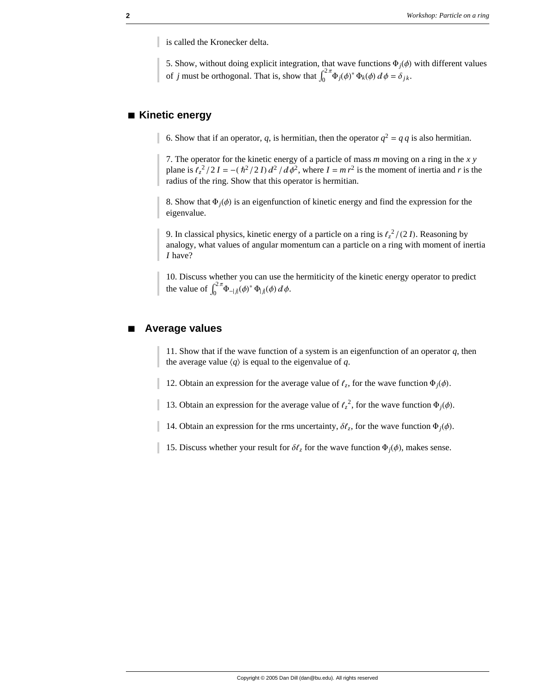is called the Kronecker delta.

5. Show, without doing explicit integration, that wave functions  $\Phi_i(\phi)$  with different values of *j* must be orthogonal. That is, show that  $\int_0^{2\pi} \Phi_j(\phi)^* \Phi_k(\phi) d\phi = \delta_{jk}$ .

# **à Kinetic energy**

6. Show that if an operator, *q*, is hermitian, then the operator  $q^2 = q q$  is also hermitian.

7. The operator for the kinetic energy of a particle of mass *m* moving on a ring in the *x y* plane is  $\ell_z^2/2I = -(\hbar^2/2I) d^2/d\phi^2$ , where  $I = m r^2$  is the moment of inertia and *r* is the radius of the ring. Show that this operator is hermitian.

8. Show that  $\Phi_i(\phi)$  is an eigenfunction of kinetic energy and find the expression for the eigenvalue.

9. In classical physics, kinetic energy of a particle on a ring is  $\ell_z^2$  /(2*I*). Reasoning by analogy, what values of angular momentum can a particle on a ring with moment of inertia *I* have?

10. Discuss whether you can use the hermiticity of the kinetic energy operator to predict the value of  $\int_0^{2\pi} \Phi_{-|j|}(\phi)^* \Phi_{|j|}(\phi) d\phi$ .

#### **à Average values**

11. Show that if the wave function of a system is an eigenfunction of an operator *q*, then the average value  $\langle q \rangle$  is equal to the eigenvalue of *q*.

12. Obtain an expression for the average value of  $\ell_z$ , for the wave function  $\Phi_i(\phi)$ .

13. Obtain an expression for the average value of  $\ell_z^2$ , for the wave function  $\Phi_j(\phi)$ .

14. Obtain an expression for the rms uncertainty,  $\delta \ell_z$ , for the wave function  $\Phi_i(\phi)$ .

15. Discuss whether your result for  $\delta l_z$  for the wave function  $\Phi_j(\phi)$ , makes sense.